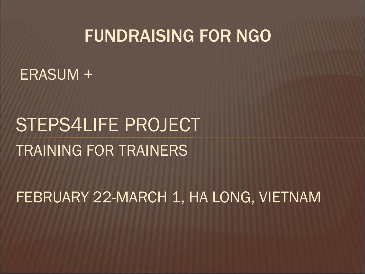### FUNDRAISING FOR NGO

#### ERASUM +

## STEPS4LIFE PROJECT TRAINING FOR TRAINERS

### FEBRUARY 22-MARCH 1, HA LONG, VIETNAM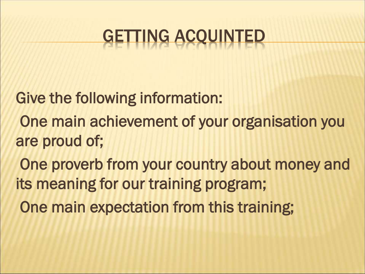## GETTING ACQUINTED

Give the following information:

- One main achievement of your organisation you are proud of;
- One proverb from your country about money and its meaning for our training program;
- One main expectation from this training;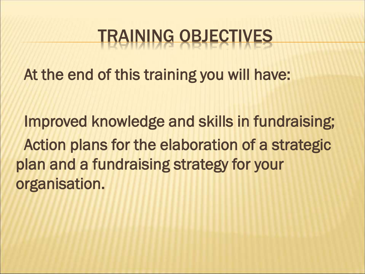## TRAINING OBJECTIVES

At the end of this training you will have:

Improved knowledge and skills in fundraising; Action plans for the elaboration of a strategic plan and a fundraising strategy for your organisation.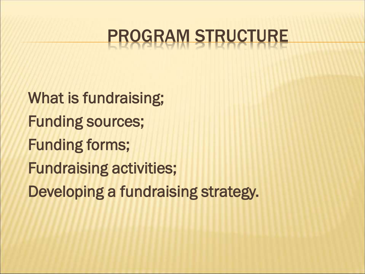## PROGRAM STRUCTURE

What is fundraising; Funding sources; Funding forms; Fundraising activities; Developing a fundraising strategy.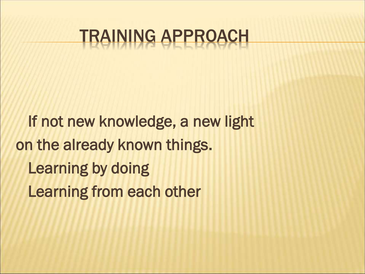## TRAINING APPROACH

If not new knowledge, a new light on the already known things. Learning by doing Learning from each other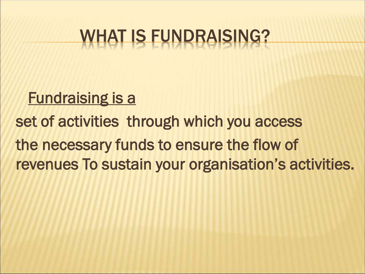## WHAT IS FUNDRAISING?

#### Fundraising is a

set of activities through which you access the necessary funds to ensure the flow of revenues To sustain your organisation's activities.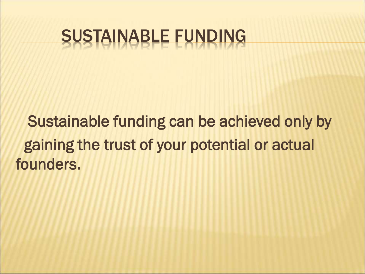# SUSTAINABLE FUNDING

Sustainable funding can be achieved only by gaining the trust of your potential or actual founders.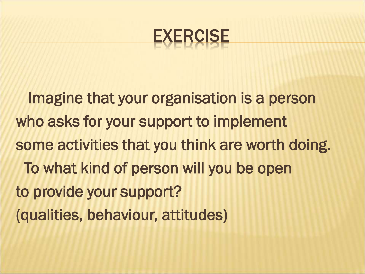

Imagine that your organisation is a person who asks for your support to implement some activities that you think are worth doing. To what kind of person will you be open to provide your support? (qualities, behaviour, attitudes)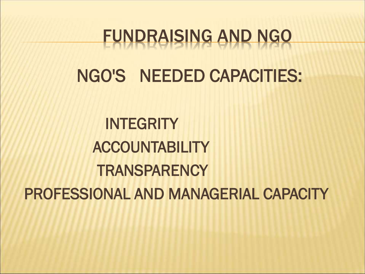## FUNDRAISING AND NGO

### NGO'S NEEDED CAPACITIES:

## **INTEGRITY** ACCOUNTABILITY **TRANSPARENCY** PROFESSIONAL AND MANAGERIAL CAPACITY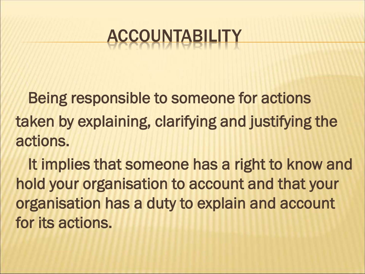## ACCOUNTABILITY

Being responsible to someone for actions taken by explaining, clarifying and justifying the actions.

It implies that someone has a right to know and hold your organisation to account and that your organisation has a duty to explain and account for its actions.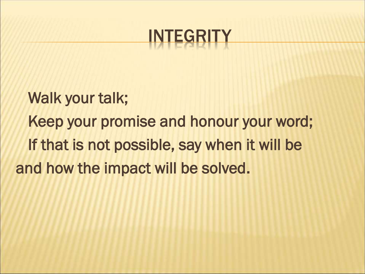## INTEGRITY

Walk your talk; Keep your promise and honour your word; If that is not possible, say when it will be and how the impact will be solved.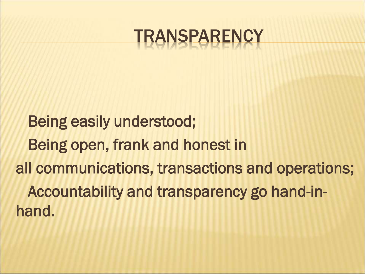

Being easily understood; Being open, frank and honest in all communications, transactions and operations; Accountability and transparency go hand-inhand.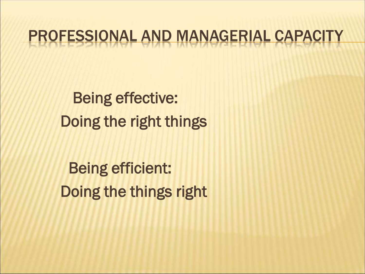### PROFESSIONAL AND MANAGERIAL CAPACITY

Being effective: Doing the right things

Being efficient: Doing the things right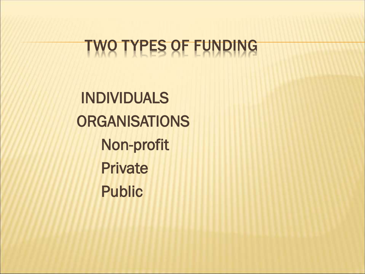## TWO TYPES OF FUNDING

INDIVIDUALS **ORGANISATIONS** Non-profit **Private** Public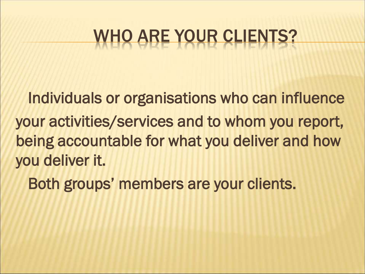# WHO ARE YOUR CLIENTS?

Individuals or organisations who can influence your activities/services and to whom you report, being accountable for what you deliver and how you deliver it.

Both groups' members are your clients.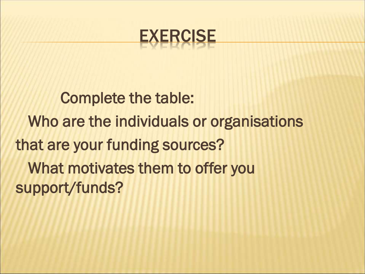

## Complete the table: Who are the individuals or organisations that are your funding sources? What motivates them to offer you support/funds?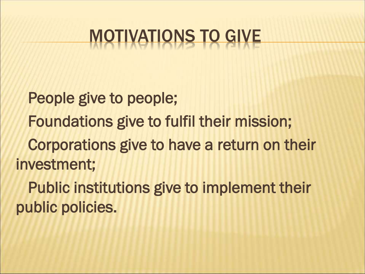# MOTIVATIONS TO GIVE

People give to people; Foundations give to fulfil their mission; Corporations give to have a return on their investment;

Public institutions give to implement their public policies.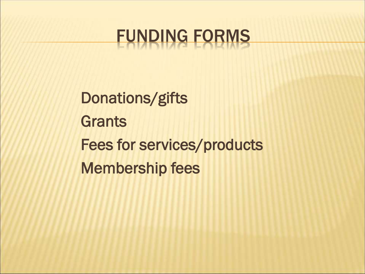## FUNDING FORMS

Donations/gifts **Grants** Fees for services/products Membership fees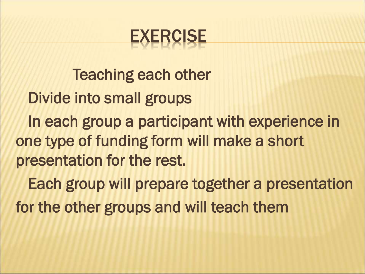

Teaching each other Divide into small groups In each group a participant with experience in one type of funding form will make a short presentation for the rest. Each group will prepare together a presentation

for the other groups and will teach them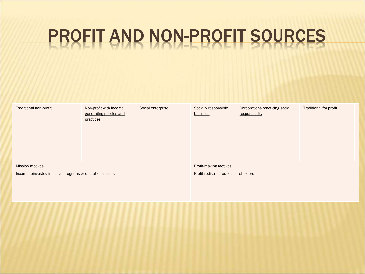# PROFIT AND NON-PROFIT SOURCES

| <b>Traditional non-profit</b>                                                       | Non-profit with income<br>generating policies and<br>practices | Social enterprise | Socially responsible<br>business                              | <b>Corporations practicing social</b><br>responsibility | <b>Traditional for profit</b> |
|-------------------------------------------------------------------------------------|----------------------------------------------------------------|-------------------|---------------------------------------------------------------|---------------------------------------------------------|-------------------------------|
| <b>Mission motives</b><br>Income reinvested in social programs or operational costs |                                                                |                   | Profit-making motives<br>Profit redistributed to shareholders |                                                         |                               |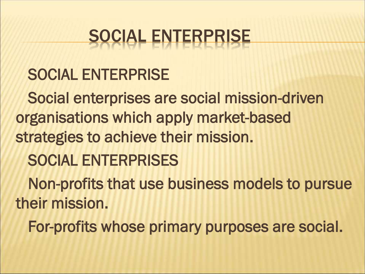# SOCIAL ENTERPRISE

### SOCIAL ENTERPRISE

Social enterprises are social mission-driven organisations which apply market-based strategies to achieve their mission. SOCIAL ENTERPRISES Non-profits that use business models to pursue

their mission.

For-profits whose primary purposes are social.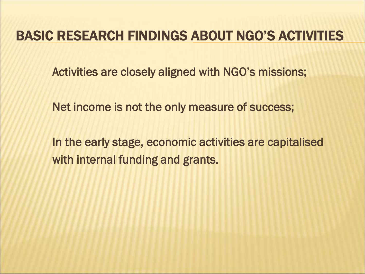#### BASIC RESEARCH FINDINGS ABOUT NGO'S ACTIVITIES

Activities are closely aligned with NGO's missions;

Net income is not the only measure of success;

In the early stage, economic activities are capitalised with internal funding and grants.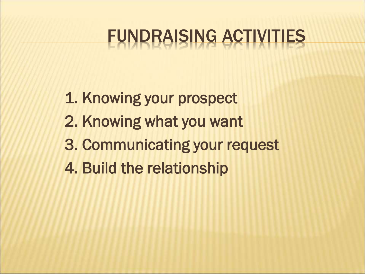# FUNDRAISING ACTIVITIES

1. Knowing your prospect 2. Knowing what you want 3. Communicating your request 4. Build the relationship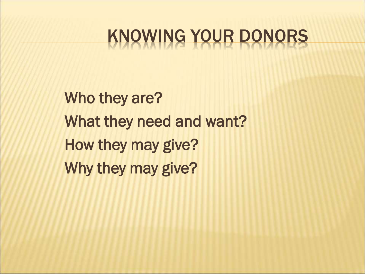## KNOWING YOUR DONORS

Who they are? What they need and want? How they may give? Why they may give?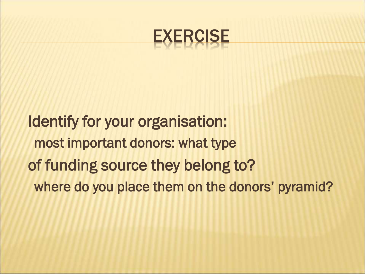

Identify for your organisation: most important donors: what type of funding source they belong to? where do you place them on the donors' pyramid?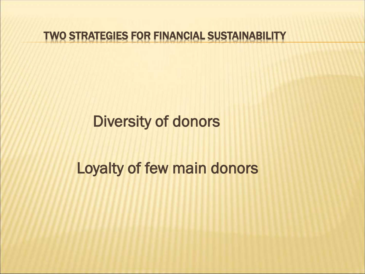#### TWO STRATEGIES FOR FINANCIAL SUSTAINABILITY

#### Diversity of donors

#### Loyalty of few main donors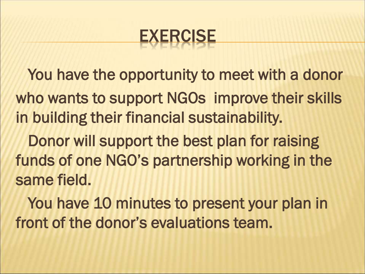

You have the opportunity to meet with a donor

who wants to support NGOs improve their skills in building their financial sustainability.

Donor will support the best plan for raising funds of one NGO's partnership working in the same field.

You have 10 minutes to present your plan in front of the donor's evaluations team.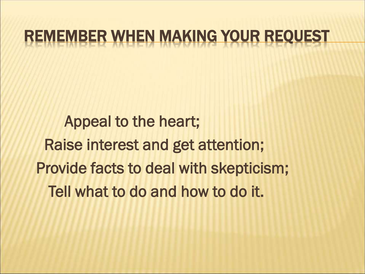### REMEMBER WHEN MAKING YOUR REQUEST

Appeal to the heart; Raise interest and get attention; Provide facts to deal with skepticism; Tell what to do and how to do it.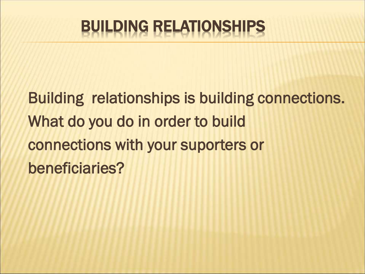## BUILDING RELATIONSHIPS

Building relationships is building connections. What do you do in order to build connections with your suporters or beneficiaries?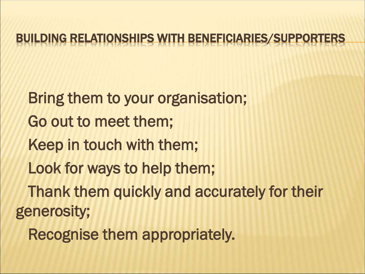#### BUILDING RELATIONSHIPS WITH BENEFICIARIES/SUPPORTERS

Bring them to your organisation; Go out to meet them; Keep in touch with them; Look for ways to help them; Thank them quickly and accurately for their generosity;

Recognise them appropriately.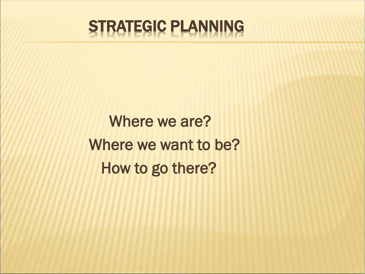

Where we are? Where we want to be? How to go there?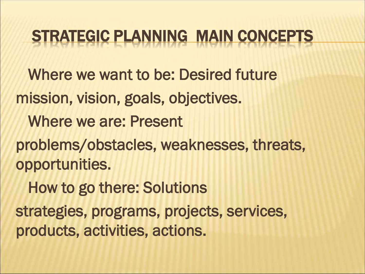### STRATEGIC PLANNING MAIN CONCEPTS

Where we want to be: Desired future mission, vision, goals, objectives. Where we are: Present problems/obstacles, weaknesses, threats, opportunities. How to go there: Solutions strategies, programs, projects, services,

products, activities, actions.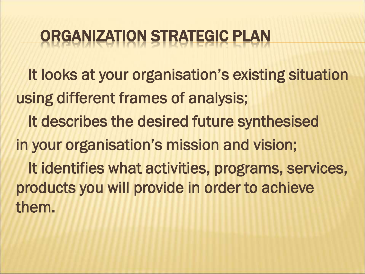### ORGANIZATION STRATEGIC PLAN

It looks at your organisation's existing situation using different frames of analysis; It describes the desired future synthesised in your organisation's mission and vision; It identifies what activities, programs, services, products you will provide in order to achieve them.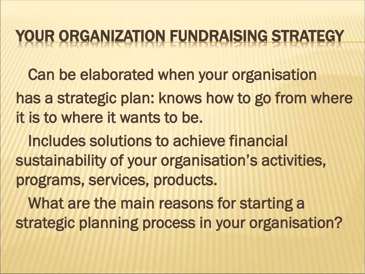### YOUR ORGANIZATION FUNDRAISING STRATEGY

Can be elaborated when your organisation

has a strategic plan: knows how to go from where it is to where it wants to be.

Includes solutions to achieve financial sustainability of your organisation's activities, programs, services, products.

What are the main reasons for starting a strategic planning process in your organisation?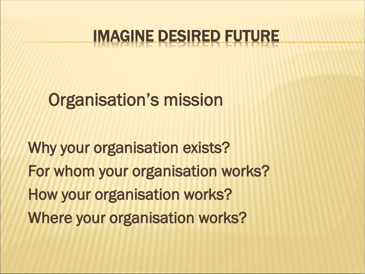### IMAGINE DESIRED FUTURE

### Organisation's mission

Why your organisation exists? For whom your organisation works? How your organisation works? Where your organisation works?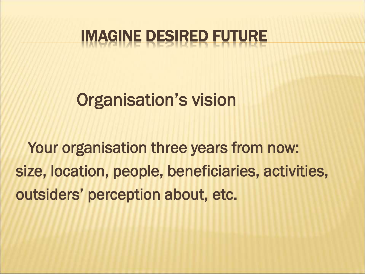### IMAGINE DESIRED FUTURE

### Organisation's vision

Your organisation three years from now: size, location, people, beneficiaries, activities, outsiders' perception about, etc.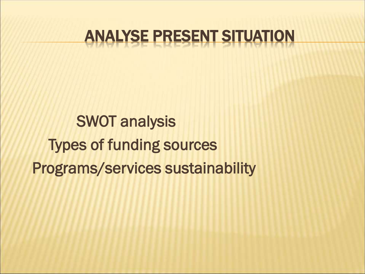### ANALYSE PRESENT SITUATION

SWOT analysis Types of funding sources Programs/services sustainability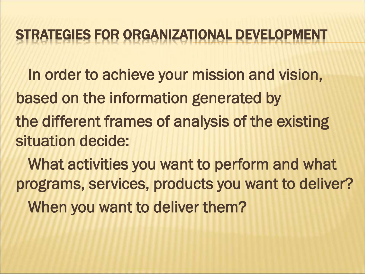#### STRATEGIES FOR ORGANIZATIONAL DEVELOPMENT

In order to achieve your mission and vision, based on the information generated by the different frames of analysis of the existing situation decide:

What activities you want to perform and what programs, services, products you want to deliver? When you want to deliver them?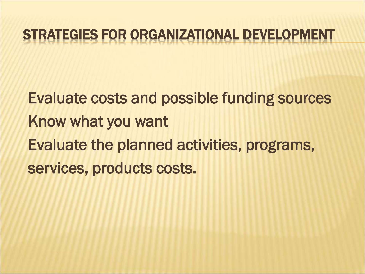#### STRATEGIES FOR ORGANIZATIONAL DEVELOPMENT

Evaluate costs and possible funding sources Know what you want Evaluate the planned activities, programs, services, products costs.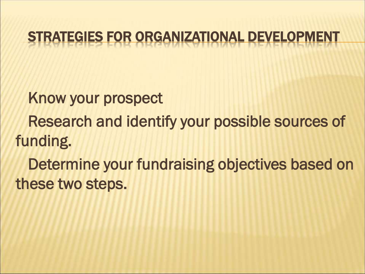### STRATEGIES FOR ORGANIZATIONAL DEVELOPMENT

Know your prospect Research and identify your possible sources of funding. Determine your fundraising objectives based on

these two steps.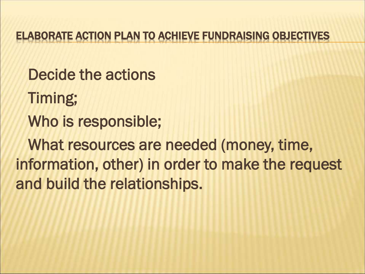#### ELABORATE ACTION PLAN TO ACHIEVE FUNDRAISING OBJECTIVES

Decide the actions Timing;

Who is responsible;

What resources are needed (money, time, information, other) in order to make the request and build the relationships.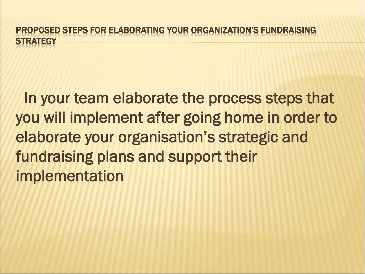#### PROPOSED STEPS FOR ELABORATING YOUR ORGANIZATION'S FUNDRAISING STRATEGY

In your team elaborate the process steps that you will implement after going home in order to elaborate your organisation's strategic and fundraising plans and support their implementation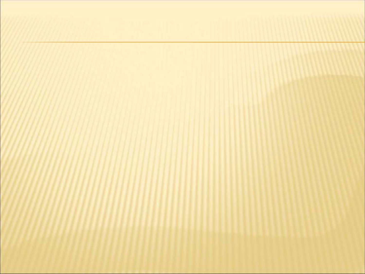